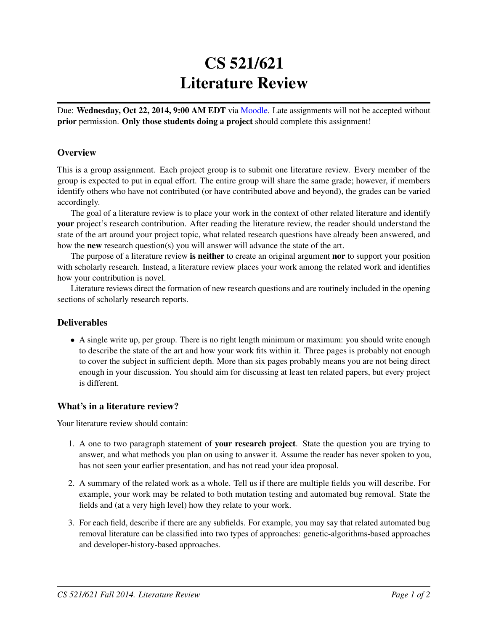# CS 521/621 Literature Review

Due: Wednesday, Oct 22, 2014, 9:00 AM EDT via [Moodle.](https://moodle.umass.edu/course/view.php?id=17268) Late assignments will not be accepted without prior permission. Only those students doing a project should complete this assignment!

## **Overview**

This is a group assignment. Each project group is to submit one literature review. Every member of the group is expected to put in equal effort. The entire group will share the same grade; however, if members identify others who have not contributed (or have contributed above and beyond), the grades can be varied accordingly.

The goal of a literature review is to place your work in the context of other related literature and identify your project's research contribution. After reading the literature review, the reader should understand the state of the art around your project topic, what related research questions have already been answered, and how the new research question(s) you will answer will advance the state of the art.

The purpose of a literature review **is neither** to create an original argument **nor** to support your position with scholarly research. Instead, a literature review places your work among the related work and identifies how your contribution is novel.

Literature reviews direct the formation of new research questions and are routinely included in the opening sections of scholarly research reports.

### **Deliverables**

• A single write up, per group. There is no right length minimum or maximum: you should write enough to describe the state of the art and how your work fits within it. Three pages is probably not enough to cover the subject in sufficient depth. More than six pages probably means you are not being direct enough in your discussion. You should aim for discussing at least ten related papers, but every project is different.

### What's in a literature review?

Your literature review should contain:

- 1. A one to two paragraph statement of your research project. State the question you are trying to answer, and what methods you plan on using to answer it. Assume the reader has never spoken to you, has not seen your earlier presentation, and has not read your idea proposal.
- 2. A summary of the related work as a whole. Tell us if there are multiple fields you will describe. For example, your work may be related to both mutation testing and automated bug removal. State the fields and (at a very high level) how they relate to your work.
- 3. For each field, describe if there are any subfields. For example, you may say that related automated bug removal literature can be classified into two types of approaches: genetic-algorithms-based approaches and developer-history-based approaches.